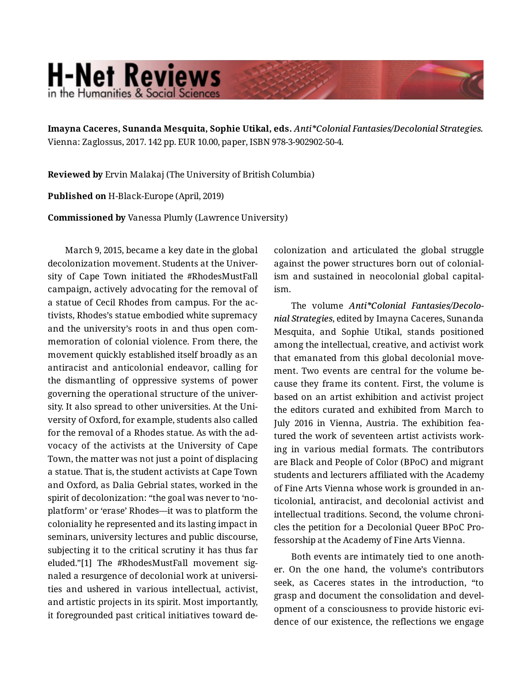## **H-Net Reviews** in the Humanities & Social Scienc

**Imayna Caceres, Sunanda Mesquita, Sophie Utikal, eds.** *Anti\*Colonial Fantasies/Decolonial Strategies.* Vienna: Zaglossus, 2017. 142 pp. EUR 10.00, paper, ISBN 978-3-902902-50-4.

**Reviewed by** Ervin Malakaj (The University of British Columbia)

**Published on** H-Black-Europe (April, 2019)

**Commissioned by** Vanessa Plumly (Lawrence University)

March 9, 2015, became a key date in the global decolonization movement. Students at the Univer‐ sity of Cape Town initiated the #RhodesMustFall campaign, actively advocating for the removal of a statue of Cecil Rhodes from campus. For the ac‐ tivists, Rhodes's statue embodied white supremacy and the university's roots in and thus open com‐ memoration of colonial violence. From there, the movement quickly established itself broadly as an antiracist and anticolonial endeavor, calling for the dismantling of oppressive systems of power governing the operational structure of the univer‐ sity. It also spread to other universities. At the Uni‐ versity of Oxford, for example, students also called for the removal of a Rhodes statue. As with the ad‐ vocacy of the activists at the University of Cape Town, the matter was not just a point of displacing a statue. That is, the student activists at Cape Town and Oxford, as Dalia Gebrial states, worked in the spirit of decolonization: "the goal was never to 'noplatform' or 'erase' Rhodes—it was to platform the coloniality he represented and its lasting impact in seminars, university lectures and public discourse, subjecting it to the critical scrutiny it has thus far eluded."[1] The #RhodesMustFall movement signaled a resurgence of decolonial work at universi‐ ties and ushered in various intellectual, activist, and artistic projects in its spirit. Most importantly, it foregrounded past critical initiatives toward de‐

colonization and articulated the global struggle against the power structures born out of colonial‐ ism and sustained in neocolonial global capital‐ ism.

The volume *Anti\*Colonial Fantasies/Decolo‐ nial Strategies*, edited by Imayna Caceres, Sunanda Mesquita, and Sophie Utikal, stands positioned among the intellectual, creative, and activist work that emanated from this global decolonial move‐ ment. Two events are central for the volume be‐ cause they frame its content. First, the volume is based on an artist exhibition and activist project the editors curated and exhibited from March to July 2016 in Vienna, Austria. The exhibition fea‐ tured the work of seventeen artist activists work‐ ing in various medial formats. The contributors are Black and People of Color (BPoC) and migrant students and lecturers affiliated with the Academy of Fine Arts Vienna whose work is grounded in an‐ ticolonial, antiracist, and decolonial activist and intellectual traditions. Second, the volume chroni‐ cles the petition for a Decolonial Queer BPoC Pro‐ fessorship at the Academy of Fine Arts Vienna.

Both events are intimately tied to one anoth‐ er. On the one hand, the volume's contributors seek, as Caceres states in the introduction, "to grasp and document the consolidation and devel‐ opment of a consciousness to provide historic evi‐ dence of our existence, the reflections we engage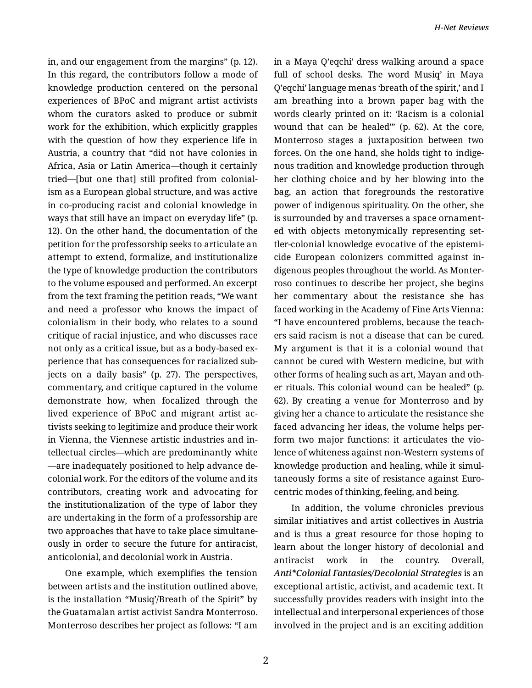in, and our engagement from the margins" (p. 12). In this regard, the contributors follow a mode of knowledge production centered on the personal experiences of BPoC and migrant artist activists whom the curators asked to produce or submit work for the exhibition, which explicitly grapples with the question of how they experience life in Austria, a country that "did not have colonies in Africa, Asia or Latin America—though it certainly tried—[but one that] still profited from colonial‐ ism as a European global structure, and was active in co-producing racist and colonial knowledge in ways that still have an impact on everyday life" (p. 12). On the other hand, the documentation of the petition for the professorship seeks to articulate an attempt to extend, formalize, and institutionalize the type of knowledge production the contributors to the volume espoused and performed. An excerpt from the text framing the petition reads, "We want and need a professor who knows the impact of colonialism in their body, who relates to a sound critique of racial injustice, and who discusses race not only as a critical issue, but as a body-based ex‐ perience that has consequences for racialized sub‐ jects on a daily basis" (p. 27). The perspectives, commentary, and critique captured in the volume demonstrate how, when focalized through the lived experience of BPoC and migrant artist ac‐ tivists seeking to legitimize and produce their work in Vienna, the Viennese artistic industries and in‐ tellectual circles—which are predominantly white —are inadequately positioned to help advance de‐ colonial work. For the editors of the volume and its contributors, creating work and advocating for the institutionalization of the type of labor they are undertaking in the form of a professorship are two approaches that have to take place simultane‐ ously in order to secure the future for antiracist, anticolonial, and decolonial work in Austria.

One example, which exemplifies the tension between artists and the institution outlined above, is the installation "Musiq'/Breath of the Spirit" by the Guatamalan artist activist Sandra Monterroso. Monterroso describes her project as follows: "I am in a Maya Q'eqchi' dress walking around a space full of school desks. The word Musiq' in Maya Q'eqchi' language menas 'breath of the spirit,' and I am breathing into a brown paper bag with the words clearly printed on it: 'Racism is a colonial wound that can be healed'" (p. 62). At the core, Monterroso stages a juxtaposition between two forces. On the one hand, she holds tight to indige‐ nous tradition and knowledge production through her clothing choice and by her blowing into the bag, an action that foregrounds the restorative power of indigenous spirituality. On the other, she is surrounded by and traverses a space ornament‐ ed with objects metonymically representing set‐ tler-colonial knowledge evocative of the epistemi‐ cide European colonizers committed against in‐ digenous peoples throughout the world. As Monter‐ roso continues to describe her project, she begins her commentary about the resistance she has faced working in the Academy of Fine Arts Vienna: "I have encountered problems, because the teach‐ ers said racism is not a disease that can be cured. My argument is that it is a colonial wound that cannot be cured with Western medicine, but with other forms of healing such as art, Mayan and oth‐ er rituals. This colonial wound can be healed" (p. 62). By creating a venue for Monterroso and by giving her a chance to articulate the resistance she faced advancing her ideas, the volume helps per‐ form two major functions: it articulates the vio‐ lence of whiteness against non-Western systems of knowledge production and healing, while it simul‐ taneously forms a site of resistance against Euro‐ centric modes of thinking, feeling, and being.

In addition, the volume chronicles previous similar initiatives and artist collectives in Austria and is thus a great resource for those hoping to learn about the longer history of decolonial and antiracist work in the country. Overall, *Anti\*Colonial Fantasies/Decolonial Strategies* is an exceptional artistic, activist, and academic text. It successfully provides readers with insight into the intellectual and interpersonal experiences of those involved in the project and is an exciting addition

2